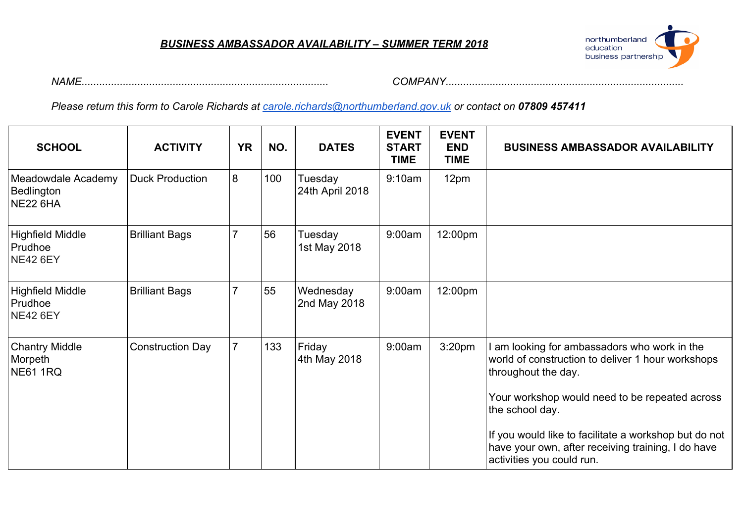#### *BUSINESS AMBASSADOR AVAILABILITY – SUMMER TERM 2018*



*NAME.................................................................................... COMPANY.................................................................................*

*Please return this form to Carole Richards at [carole.richards@northumberland.gov.uk](mailto:carole.richards@northumberland.gov.uk) or contact on 07809 457411*

| <b>SCHOOL</b>                                       | <b>ACTIVITY</b>         | <b>YR</b>      | NO. | <b>DATES</b>               | <b>EVENT</b><br><b>START</b><br><b>TIME</b> | <b>EVENT</b><br><b>END</b><br><b>TIME</b> | <b>BUSINESS AMBASSADOR AVAILABILITY</b>                                                                                                                                                                                                                                                                                                   |
|-----------------------------------------------------|-------------------------|----------------|-----|----------------------------|---------------------------------------------|-------------------------------------------|-------------------------------------------------------------------------------------------------------------------------------------------------------------------------------------------------------------------------------------------------------------------------------------------------------------------------------------------|
| Meadowdale Academy<br>Bedlington<br>NE22 6HA        | <b>Duck Production</b>  | 8              | 100 | Tuesday<br>24th April 2018 | 9:10am                                      | 12pm                                      |                                                                                                                                                                                                                                                                                                                                           |
| Highfield Middle<br>Prudhoe<br><b>NE42 6EY</b>      | <b>Brilliant Bags</b>   |                | 56  | Tuesday<br>1st May 2018    | 9:00am                                      | 12:00pm                                   |                                                                                                                                                                                                                                                                                                                                           |
| Highfield Middle<br>Prudhoe<br><b>NE42 6EY</b>      | <b>Brilliant Bags</b>   |                | 55  | Wednesday<br>2nd May 2018  | 9:00am                                      | 12:00pm                                   |                                                                                                                                                                                                                                                                                                                                           |
| <b>Chantry Middle</b><br>Morpeth<br><b>NE61 1RQ</b> | <b>Construction Day</b> | $\overline{7}$ | 133 | Friday<br>4th May 2018     | 9:00am                                      | 3:20 <sub>pm</sub>                        | I am looking for ambassadors who work in the<br>world of construction to deliver 1 hour workshops<br>throughout the day.<br>Your workshop would need to be repeated across<br>the school day.<br>If you would like to facilitate a workshop but do not<br>have your own, after receiving training, I do have<br>activities you could run. |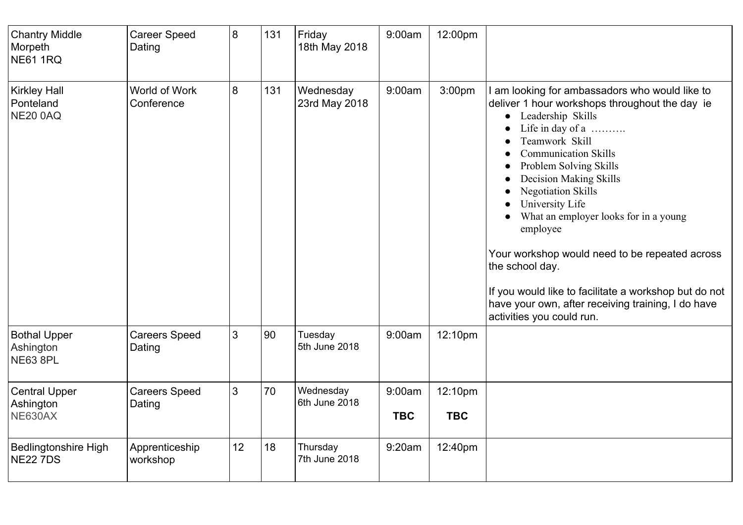| <b>Chantry Middle</b><br>Morpeth<br><b>NE61 1RQ</b> | <b>Career Speed</b><br>Dating  | 8  | 131 | Friday<br>18th May 2018    | 9:00am               | 12:00pm               |                                                                                                                                                                                                                                                                                                                                                                                                                                                                                                                                                                                        |
|-----------------------------------------------------|--------------------------------|----|-----|----------------------------|----------------------|-----------------------|----------------------------------------------------------------------------------------------------------------------------------------------------------------------------------------------------------------------------------------------------------------------------------------------------------------------------------------------------------------------------------------------------------------------------------------------------------------------------------------------------------------------------------------------------------------------------------------|
| <b>Kirkley Hall</b><br>Ponteland<br><b>NE20 0AQ</b> | World of Work<br>Conference    | 8  | 131 | Wednesday<br>23rd May 2018 | 9:00am               | 3:00pm                | am looking for ambassadors who would like to<br>deliver 1 hour workshops throughout the day ie<br>Leadership Skills<br>$\bullet$<br>Life in day of a<br>Teamwork Skill<br><b>Communication Skills</b><br>Problem Solving Skills<br><b>Decision Making Skills</b><br><b>Negotiation Skills</b><br>University Life<br>What an employer looks for in a young<br>employee<br>Your workshop would need to be repeated across<br>the school day.<br>If you would like to facilitate a workshop but do not<br>have your own, after receiving training, I do have<br>activities you could run. |
| <b>Bothal Upper</b><br>Ashington<br><b>NE63 8PL</b> | <b>Careers Speed</b><br>Dating | 3  | 90  | Tuesday<br>5th June 2018   | 9:00am               | 12:10pm               |                                                                                                                                                                                                                                                                                                                                                                                                                                                                                                                                                                                        |
| <b>Central Upper</b><br>Ashington<br>NE630AX        | <b>Careers Speed</b><br>Dating | 3  | 70  | Wednesday<br>6th June 2018 | 9:00am<br><b>TBC</b> | 12:10pm<br><b>TBC</b> |                                                                                                                                                                                                                                                                                                                                                                                                                                                                                                                                                                                        |
| <b>Bedlingtonshire High</b><br><b>NE22 7DS</b>      | Apprenticeship<br>workshop     | 12 | 18  | Thursday<br>7th June 2018  | 9:20am               | 12:40pm               |                                                                                                                                                                                                                                                                                                                                                                                                                                                                                                                                                                                        |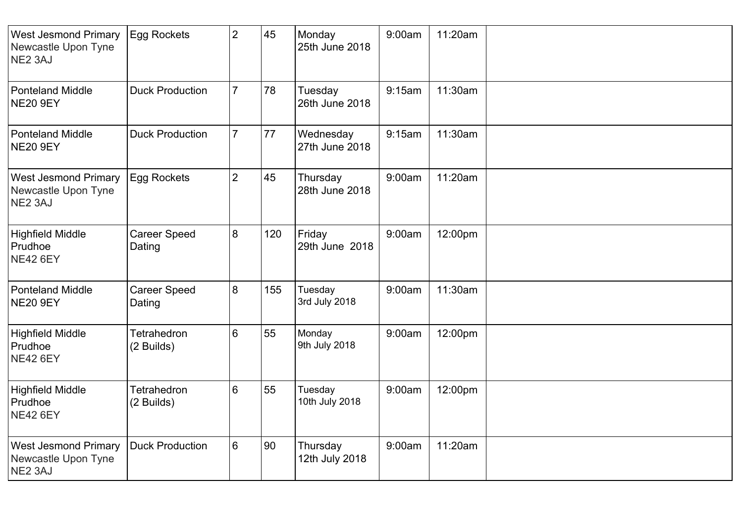| <b>West Jesmond Primary</b><br>Newcastle Upon Tyne<br>NE2 3AJ | <b>Egg Rockets</b>            | $\overline{2}$ | 45  | Monday<br>25th June 2018    | 9:00am | 11:20am |  |
|---------------------------------------------------------------|-------------------------------|----------------|-----|-----------------------------|--------|---------|--|
| <b>Ponteland Middle</b><br><b>NE20 9EY</b>                    | <b>Duck Production</b>        | $\overline{7}$ | 78  | Tuesday<br>26th June 2018   | 9:15am | 11:30am |  |
| <b>Ponteland Middle</b><br><b>NE20 9EY</b>                    | <b>Duck Production</b>        | $\overline{7}$ | 77  | Wednesday<br>27th June 2018 | 9:15am | 11:30am |  |
| <b>West Jesmond Primary</b><br>Newcastle Upon Tyne<br>NE2 3AJ | <b>Egg Rockets</b>            | $\overline{2}$ | 45  | Thursday<br>28th June 2018  | 9:00am | 11:20am |  |
| <b>Highfield Middle</b><br>Prudhoe<br><b>NE42 6EY</b>         | <b>Career Speed</b><br>Dating | 8              | 120 | Friday<br>29th June 2018    | 9:00am | 12:00pm |  |
| <b>Ponteland Middle</b><br><b>NE20 9EY</b>                    | <b>Career Speed</b><br>Dating | 8              | 155 | Tuesday<br>3rd July 2018    | 9:00am | 11:30am |  |
| <b>Highfield Middle</b><br>Prudhoe<br><b>NE42 6EY</b>         | Tetrahedron<br>(2 Builds)     | 6              | 55  | Monday<br>9th July 2018     | 9:00am | 12:00pm |  |
| <b>Highfield Middle</b><br>Prudhoe<br><b>NE42 6EY</b>         | Tetrahedron<br>(2 Builds)     | 6              | 55  | Tuesday<br>10th July 2018   | 9:00am | 12:00pm |  |
| <b>West Jesmond Primary</b><br>Newcastle Upon Tyne<br>NE2 3AJ | <b>Duck Production</b>        | 6              | 90  | Thursday<br>12th July 2018  | 9:00am | 11:20am |  |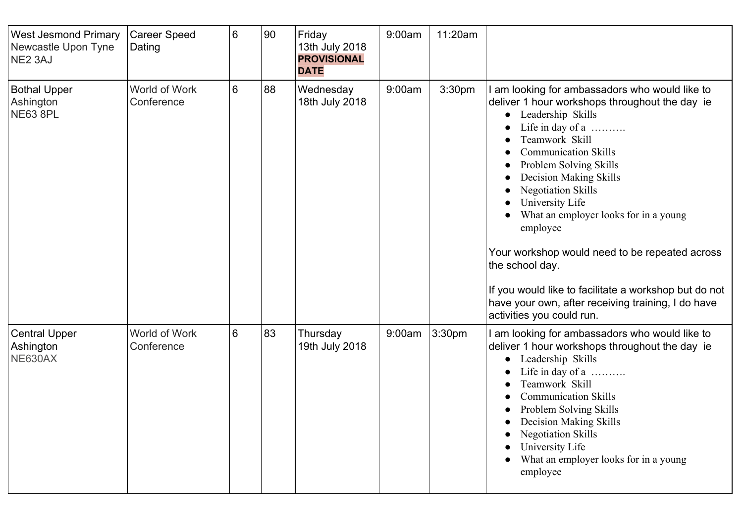| <b>West Jesmond Primary</b><br>Newcastle Upon Tyne<br>NE <sub>2</sub> 3AJ | <b>Career Speed</b><br>Dating | 6 | 90 | Friday<br>13th July 2018<br><b>PROVISIONAL</b><br><b>DATE</b> | 9:00am | 11:20am            |                                                                                                                                                                                                                                                                                                                                                                                                                                                                                                                                                                             |
|---------------------------------------------------------------------------|-------------------------------|---|----|---------------------------------------------------------------|--------|--------------------|-----------------------------------------------------------------------------------------------------------------------------------------------------------------------------------------------------------------------------------------------------------------------------------------------------------------------------------------------------------------------------------------------------------------------------------------------------------------------------------------------------------------------------------------------------------------------------|
| Bothal Upper<br>Ashington<br><b>NE63 8PL</b>                              | World of Work<br>Conference   | 6 | 88 | Wednesday<br>18th July 2018                                   | 9:00am | 3:30 <sub>pm</sub> | I am looking for ambassadors who would like to<br>deliver 1 hour workshops throughout the day ie<br>Leadership Skills<br>Life in day of a<br>Teamwork Skill<br><b>Communication Skills</b><br>Problem Solving Skills<br><b>Decision Making Skills</b><br><b>Negotiation Skills</b><br>University Life<br>What an employer looks for in a young<br>employee<br>Your workshop would need to be repeated across<br>the school day.<br>If you would like to facilitate a workshop but do not<br>have your own, after receiving training, I do have<br>activities you could run. |
| <b>Central Upper</b><br>Ashington<br>NE630AX                              | World of Work<br>Conference   | 6 | 83 | Thursday<br>19th July 2018                                    | 9:00am | 3:30 <sub>pm</sub> | I am looking for ambassadors who would like to<br>deliver 1 hour workshops throughout the day ie<br>Leadership Skills<br>Life in day of a<br>Teamwork Skill<br><b>Communication Skills</b><br><b>Problem Solving Skills</b><br><b>Decision Making Skills</b><br><b>Negotiation Skills</b><br>University Life<br>What an employer looks for in a young<br>employee                                                                                                                                                                                                           |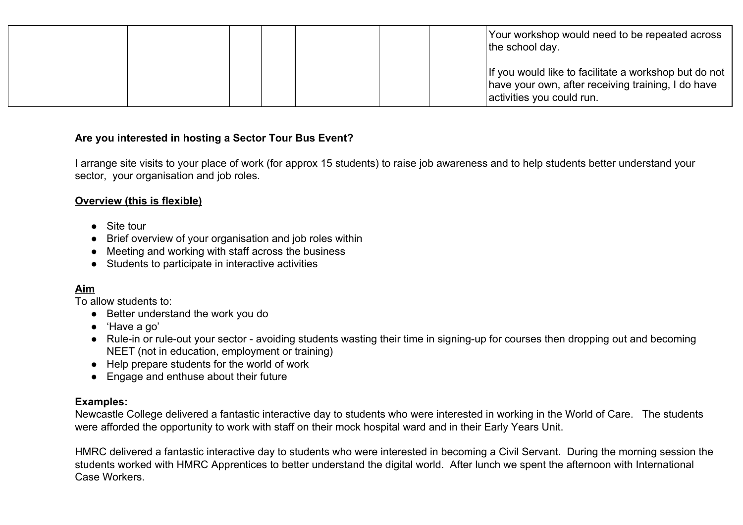|  |  |  | Your workshop would need to be repeated across<br>the school day.                                                                        |
|--|--|--|------------------------------------------------------------------------------------------------------------------------------------------|
|  |  |  | If you would like to facilitate a workshop but do not<br>have your own, after receiving training, I do have<br>activities you could run. |

### **Are you interested in hosting a Sector Tour Bus Event?**

I arrange site visits to your place of work (for approx 15 students) to raise job awareness and to help students better understand your sector, your organisation and job roles.

#### **Overview (this is flexible)**

- Site tour
- Brief overview of your organisation and job roles within
- Meeting and working with staff across the business
- Students to participate in interactive activities

# **Aim**

To allow students to:

- Better understand the work you do
- 'Have a go'
- Rule-in or rule-out your sector avoiding students wasting their time in signing-up for courses then dropping out and becoming NEET (not in education, employment or training)
- Help prepare students for the world of work
- Engage and enthuse about their future

## **Examples:**

Newcastle College delivered a fantastic interactive day to students who were interested in working in the World of Care. The students were afforded the opportunity to work with staff on their mock hospital ward and in their Early Years Unit.

HMRC delivered a fantastic interactive day to students who were interested in becoming a Civil Servant. During the morning session the students worked with HMRC Apprentices to better understand the digital world. After lunch we spent the afternoon with International Case Workers.